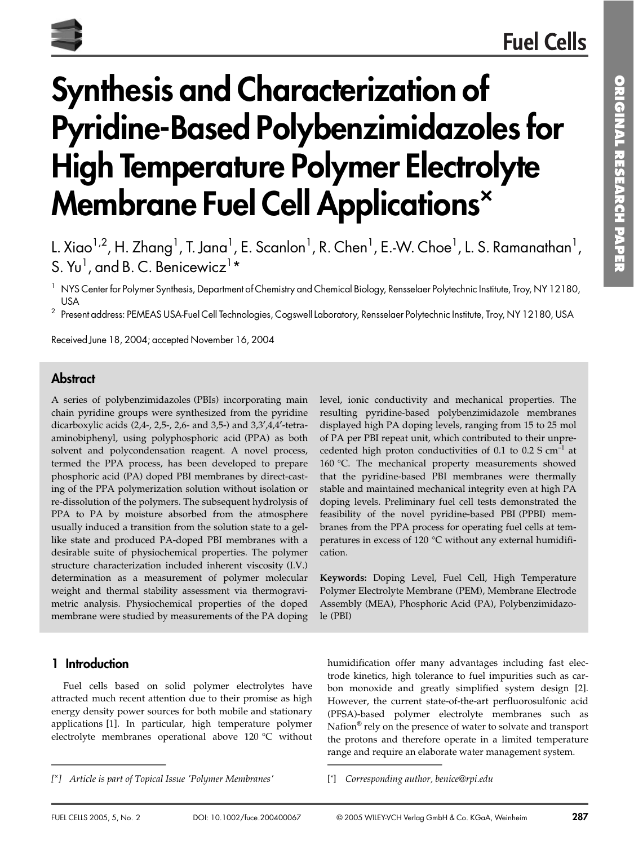# **Synthesis and Characterization of Pyridine-Based Polybenzimidazoles for** High Temperature Polymer Electrolyte **Membrane Fuel Cell Applications**

<sup>1</sup> NYS Center for Polymer Synthesis, Department of Chemistry and Chemical Biology, Rensselaer Polytechnic Institute, Troy, NY 12180, **USA** 

<sup>2</sup> Present address: PEMEAS USA-Fuel Cell Technologies, Cogswell Laboratory, Rensselaer Polytechnic Institute, Troy, NY 12180, USA

Received June 18, 2004; accepted November 16, 2004

### **Abstract**

A series of polybenzimidazoles (PBIs) incorporating main chain pyridine groups were synthesized from the pyridine dicarboxylic acids (2,4-, 2,5-, 2,6- and 3,5-) and 3,3',4,4'-tetraaminobiphenyl, using polyphosphoric acid (PPA) as both solvent and polycondensation reagent. A novel process, termed the PPA process, has been developed to prepare phosphoric acid (PA) doped PBI membranes by direct-casting of the PPA polymerization solution without isolation or re-dissolution of the polymers. The subsequent hydrolysis of PPA to PA by moisture absorbed from the atmosphere usually induced a transition from the solution state to a gellike state and produced PA-doped PBI membranes with a desirable suite of physiochemical properties. The polymer structure characterization included inherent viscosity (I.V.) determination as a measurement of polymer molecular weight and thermal stability assessment via thermogravimetric analysis. Physiochemical properties of the doped membrane were studied by measurements of the PA doping

#### level, ionic conductivity and mechanical properties. The resulting pyridine-based polybenzimidazole membranes displayed high PA doping levels, ranging from 15 to 25 mol of PA per PBI repeat unit, which contributed to their unprecedented high proton conductivities of 0.1 to 0.2 S  $cm^{-1}$  at 160 °C. The mechanical property measurements showed that the pyridine-based PBI membranes were thermally stable and maintained mechanical integrity even at high PA doping levels. Preliminary fuel cell tests demonstrated the feasibility of the novel pyridine-based PBI (PPBI) membranes from the PPA process for operating fuel cells at temperatures in excess of 120 °C without any external humidification.

Keywords: Doping Level, Fuel Cell, High Temperature Polymer Electrolyte Membrane (PEM), Membrane Electrode Assembly (MEA), Phosphoric Acid (PA), Polybenzimidazole (PBI)

# 1 Introduction

Fuel cells based on solid polymer electrolytes have attracted much recent attention due to their promise as high energy density power sources for both mobile and stationary applications [1]. In particular, high temperature polymer electrolyte membranes operational above 120 °C without humidification offer many advantages including fast electrode kinetics, high tolerance to fuel impurities such as carbon monoxide and greatly simplified system design [2]. However, the current state-of-the-art perfluorosulfonic acid (PFSA)-based polymer electrolyte membranes such as Nafion® rely on the presence of water to solvate and transport the protons and therefore operate in a limited temperature range and require an elaborate water management system.

L. Xiao<sup>1,2</sup>, H. Zhang<sup>1</sup>, T. Jana<sup>1</sup>, E. Scanlon<sup>1</sup>, R. Chen<sup>1</sup>, E.-W. Choe<sup>1</sup>, L. S. Ramanathan<sup>1</sup>, S. Yu<sup>1</sup>, and B. C. Benicewicz<sup>1\*</sup>

<sup>[\*]</sup> Article is part of Topical Issue 'Polymer Membranes'

<sup>[\*]</sup> Corresponding author, benice@rpi.edu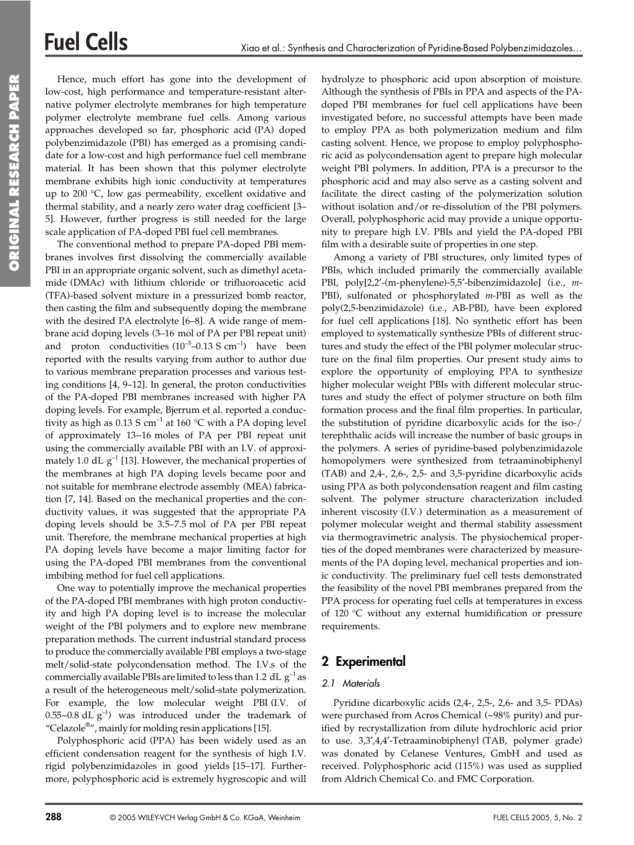Hence, much effort has gone into the development of low-cost, high performance and temperature-resistant alternative polymer electrolyte membranes for high temperature polymer electrolyte membrane fuel cells. Among various approaches developed so far, phosphoric acid (PA) doped polybenzimidazole (PBI) has emerged as a promising candidate for a low-cost and high performance fuel cell membrane material. It has been shown that this polymer electrolyte membrane exhibits high ionic conductivity at temperatures up to 200 °C, low gas permeability, excellent oxidative and thermal stability, and a nearly zero water drag coefficient [3-5]. However, further progress is still needed for the large scale application of PA-doped PBI fuel cell membranes.

The conventional method to prepare PA-doped PBI membranes involves first dissolving the commercially available PBI in an appropriate organic solvent, such as dimethyl acetamide (DMAc) with lithium chloride or trifluoroacetic acid (TFA)-based solvent mixture in a pressurized bomb reactor, then casting the film and subsequently doping the membrane with the desired PA electrolyte [6-8]. A wide range of membrane acid doping levels (3–16 mol of PA per PBI repeat unit) and proton conductivities  $(10^{-5} - 0.13 \text{ S cm}^{-1})$  have been reported with the results varying from author to author due to various membrane preparation processes and various testing conditions  $[4, 9-12]$ . In general, the proton conductivities of the PA-doped PBI membranes increased with higher PA doping levels. For example, Bjerrum et al. reported a conductivity as high as  $0.13$  S cm<sup>-1</sup> at 160 °C with a PA doping level of approximately 13~16 moles of PA per PBI repeat unit using the commercially available PBI with an I.V. of approximately 1.0 dL  $g^{-1}$  [13]. However, the mechanical properties of the membranes at high PA doping levels became poor and not suitable for membrane electrode assembly (MEA) fabrication [7, 14]. Based on the mechanical properties and the conductivity values, it was suggested that the appropriate PA doping levels should be 3.5-7.5 mol of PA per PBI repeat unit. Therefore, the membrane mechanical properties at high PA doping levels have become a major limiting factor for using the PA-doped PBI membranes from the conventional imbibing method for fuel cell applications.

One way to potentially improve the mechanical properties of the PA-doped PBI membranes with high proton conductivity and high PA doping level is to increase the molecular weight of the PBI polymers and to explore new membrane preparation methods. The current industrial standard process to produce the commercially available PBI employs a two-stage melt/solid-state polycondensation method. The I.V.s of the commercially available PBIs are limited to less than 1.2 dL  $g^{-1}$  as a result of the heterogeneous melt/solid-state polymerization. For example, the low molecular weight PBI (I.V. of 0.55~0.8 dL  $g^{-1}$ ) was introduced under the trademark of "Celazole<sup>®</sup>", mainly for molding resin applications [15].

Polyphosphoric acid (PPA) has been widely used as an efficient condensation reagent for the synthesis of high I.V. rigid polybenzimidazoles in good yields [15-17]. Furthermore, polyphosphoric acid is extremely hygroscopic and will

288

hydrolyze to phosphoric acid upon absorption of moisture. Although the synthesis of PBIs in PPA and aspects of the PAdoped PBI membranes for fuel cell applications have been investigated before, no successful attempts have been made to employ PPA as both polymerization medium and film casting solvent. Hence, we propose to employ polyphosphoric acid as polycondensation agent to prepare high molecular weight PBI polymers. In addition, PPA is a precursor to the phosphoric acid and may also serve as a casting solvent and facilitate the direct casting of the polymerization solution without isolation and/or re-dissolution of the PBI polymers. Overall, polyphosphoric acid may provide a unique opportunity to prepare high I.V. PBIs and yield the PA-doped PBI film with a desirable suite of properties in one step.

Among a variety of PBI structures, only limited types of PBIs, which included primarily the commercially available PBI, poly[2,2'-(m-phenylene)-5,5'-bibenzimidazole] (i.e., m-PBI), sulfonated or phosphorylated  $m$ -PBI as well as the poly(2,5-benzimidazole) (i.e., AB-PBI), have been explored for fuel cell applications [18]. No synthetic effort has been employed to systematically synthesize PBIs of different structures and study the effect of the PBI polymer molecular structure on the final film properties. Our present study aims to explore the opportunity of employing PPA to synthesize higher molecular weight PBIs with different molecular structures and study the effect of polymer structure on both film formation process and the final film properties. In particular, the substitution of pyridine dicarboxylic acids for the iso-/ terephthalic acids will increase the number of basic groups in the polymers. A series of pyridine-based polybenzimidazole homopolymers were synthesized from tetraaminobiphenyl (TAB) and 2,4-, 2,6-, 2,5- and 3,5-pyridine dicarboxylic acids using PPA as both polycondensation reagent and film casting solvent. The polymer structure characterization included inherent viscosity (I.V.) determination as a measurement of polymer molecular weight and thermal stability assessment via thermogravimetric analysis. The physiochemical properties of the doped membranes were characterized by measurements of the PA doping level, mechanical properties and ionic conductivity. The preliminary fuel cell tests demonstrated the feasibility of the novel PBI membranes prepared from the PPA process for operating fuel cells at temperatures in excess of 120 °C without any external humidification or pressure requirements.

# 2 Experimental

### 2.1 Materials

Pyridine dicarboxylic acids (2,4-, 2,5-, 2,6- and 3,5- PDAs) were purchased from Acros Chemical (~98% purity) and purified by recrystallization from dilute hydrochloric acid prior to use. 3,3',4,4'-Tetraaminobiphenyl (TAB, polymer grade) was donated by Celanese Ventures, GmbH and used as received. Polyphosphoric acid (115%) was used as supplied from Aldrich Chemical Co. and FMC Corporation.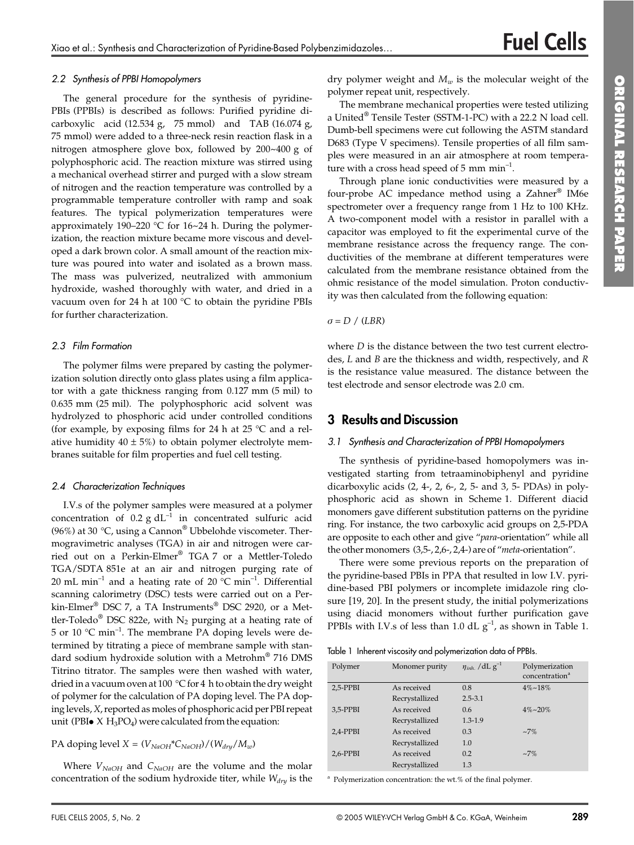#### 2.2 Synthesis of PPBI Homopolymers

The general procedure for the synthesis of pyridine-PBIs (PPBIs) is described as follows: Purified pyridine dicarboxylic acid (12.534 g,  $75$  mmol) and TAB (16.074 g, 75 mmol) were added to a three-neck resin reaction flask in a nitrogen atmosphere glove box, followed by 200~400 g of polyphosphoric acid. The reaction mixture was stirred using a mechanical overhead stirrer and purged with a slow stream of nitrogen and the reaction temperature was controlled by a programmable temperature controller with ramp and soak features. The typical polymerization temperatures were approximately 190-220 °C for 16~24 h. During the polymerization, the reaction mixture became more viscous and developed a dark brown color. A small amount of the reaction mixture was poured into water and isolated as a brown mass. The mass was pulverized, neutralized with ammonium hydroxide, washed thoroughly with water, and dried in a vacuum oven for 24 h at 100 °C to obtain the pyridine PBIs for further characterization.

#### 2.3 Film Formation

The polymer films were prepared by casting the polymerization solution directly onto glass plates using a film applicator with a gate thickness ranging from  $0.127$  mm  $(5 \text{ mil})$  to 0.635 mm (25 mil). The polyphosphoric acid solvent was hydrolyzed to phosphoric acid under controlled conditions (for example, by exposing films for 24 h at 25  $\degree$ C and a relative humidity  $40 \pm 5\%$ ) to obtain polymer electrolyte membranes suitable for film properties and fuel cell testing.

#### 2.4 Characterization Techniques

I.V.s of the polymer samples were measured at a polymer concentration of  $0.2$  g dL<sup>-1</sup> in concentrated sulfuric acid (96%) at 30 °C, using a Cannon<sup>®</sup> Ubbelohde viscometer. Thermogravimetric analyses (TGA) in air and nitrogen were carried out on a Perkin-Elmer® TGA 7 or a Mettler-Toledo TGA/SDTA 851e at an air and nitrogen purging rate of 20 mL min<sup>-1</sup> and a heating rate of 20  $^{\circ}$ C min<sup>-1</sup>. Differential scanning calorimetry (DSC) tests were carried out on a Perkin-Elmer® DSC 7, a TA Instruments® DSC 2920, or a Mettler-Toledo<sup>®</sup> DSC 822e, with N<sub>2</sub> purging at a heating rate of 5 or 10  $^{\circ}$ C min<sup>-1</sup>. The membrane PA doping levels were determined by titrating a piece of membrane sample with standard sodium hydroxide solution with a Metrohm® 716 DMS Titrino titrator. The samples were then washed with water, dried in a vacuum oven at 100 °C for 4 h to obtain the dry weight of polymer for the calculation of PA doping level. The PA doping levels, X, reported as moles of phosphoric acid per PBI repeat unit (PBI $\bullet$  X H<sub>3</sub>PO<sub>4</sub>) were calculated from the equation:

PA doping level  $X = (V_{NaOH} * C_{NaOH}) / (W_{dry}/M_w)$ 

Where  $V_{NaOH}$  and  $C_{NaOH}$  are the volume and the molar concentration of the sodium hydroxide titer, while  $W_{dry}$  is the dry polymer weight and  $M_w$  is the molecular weight of the polymer repeat unit, respectively.

The membrane mechanical properties were tested utilizing a United® Tensile Tester (SSTM-1-PC) with a 22.2 N load cell. Dumb-bell specimens were cut following the ASTM standard D683 (Type V specimens). Tensile properties of all film samples were measured in an air atmosphere at room temperature with a cross head speed of 5 mm  $min^{-1}$ .

Through plane ionic conductivities were measured by a four-probe AC impedance method using a Zahner<sup>®</sup> IM6e spectrometer over a frequency range from 1 Hz to 100 KHz. A two-component model with a resistor in parallel with a capacitor was employed to fit the experimental curve of the membrane resistance across the frequency range. The conductivities of the membrane at different temperatures were calculated from the membrane resistance obtained from the ohmic resistance of the model simulation. Proton conductivity was then calculated from the following equation:

$$
\sigma = D \ / \ (LBR)
$$

where  $D$  is the distance between the two test current electrodes,  $L$  and  $B$  are the thickness and width, respectively, and  $R$ is the resistance value measured. The distance between the test electrode and sensor electrode was 2.0 cm.

# **3** Results and Discussion

#### 3.1 Synthesis and Characterization of PPBI Homopolymers

The synthesis of pyridine-based homopolymers was investigated starting from tetraaminobiphenyl and pyridine dicarboxylic acids  $(2, 4, 2, 6, 2, 5, 4, 3, 5, PDAs)$  in polyphosphoric acid as shown in Scheme 1. Different diacid monomers gave different substitution patterns on the pyridine ring. For instance, the two carboxylic acid groups on 2,5-PDA are opposite to each other and give "para-orientation" while all the other monomers (3,5-, 2,6-, 2,4-) are of "meta-orientation".

There were some previous reports on the preparation of the pyridine-based PBIs in PPA that resulted in low I.V. pyridine-based PBI polymers or incomplete imidazole ring closure [19, 20]. In the present study, the initial polymerizations using diacid monomers without further purification gave PPBIs with I.V.s of less than 1.0 dL  $g^{-1}$ , as shown in Table 1.

Table 1 Inherent viscosity and polymerization data of PPBIs.

| Polymer      | Monomer purity | $\eta_{inh.}$ /dL $g^{-1}$ | Polymerization<br>concentration <sup>a</sup> |
|--------------|----------------|----------------------------|----------------------------------------------|
| $2.5 - PPBI$ | As received    | 0.8                        | $4\% - 18\%$                                 |
|              | Recrystallized | $2.5 - 3.1$                |                                              |
| $3.5-PPBI$   | As received    | 0.6                        | $4\% - 20\%$                                 |
|              | Recrystallized | $1.3 - 1.9$                |                                              |
| 2,4-PPBI     | As received    | 0.3                        | $~17\%$                                      |
|              | Recrystallized | 1.0                        |                                              |
| $2.6$ -PPBI  | As received    | 0.2                        | $~17\%$                                      |
|              | Recrystallized | 1.3                        |                                              |

 $^{\rm a}$  Polymerization concentration: the wt.% of the final polymer.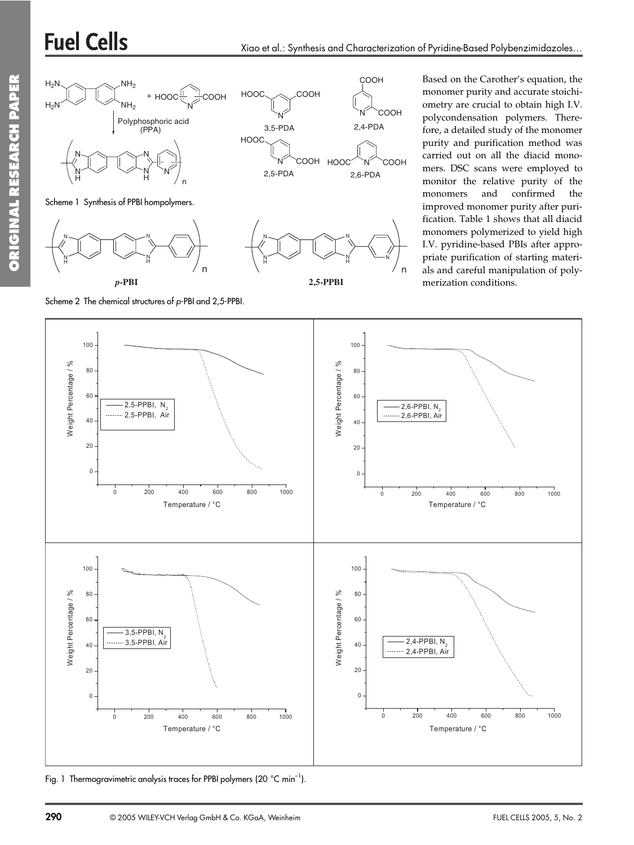# **Fuel Cells**



Scheme 2 The chemical structures of p-PBI and 2,5-PPBI.

Based on the Carother's equation, the monomer purity and accurate stoichiometry are crucial to obtain high I.V. polycondensation polymers. Therefore, a detailed study of the monomer purity and purification method was carried out on all the diacid monomers. DSC scans were employed to monitor the relative purity of the and monomers confirmed the improved monomer purity after purification. Table 1 shows that all diacid monomers polymerized to yield high I.V. pyridine-based PBIs after appropriate purification of starting materials and careful manipulation of polymerization conditions.



Fig. 1 Thermogravimetric analysis traces for PPBI polymers (20 °C min<sup>-1</sup>).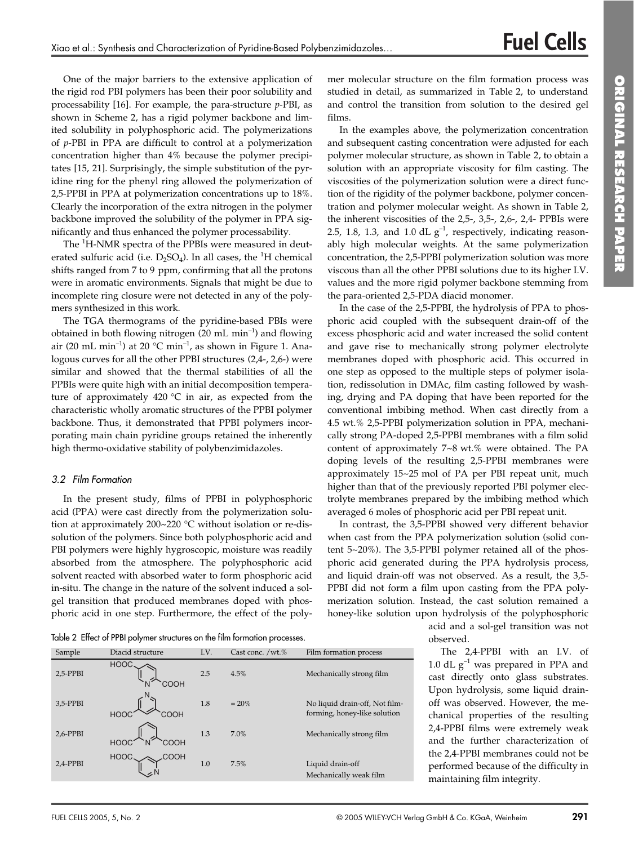One of the major barriers to the extensive application of the rigid rod PBI polymers has been their poor solubility and processability [16]. For example, the para-structure  $p$ -PBI, as shown in Scheme 2, has a rigid polymer backbone and limited solubility in polyphosphoric acid. The polymerizations of  $p$ -PBI in PPA are difficult to control at a polymerization concentration higher than 4% because the polymer precipitates [15, 21]. Surprisingly, the simple substitution of the pyridine ring for the phenyl ring allowed the polymerization of 2,5-PPBI in PPA at polymerization concentrations up to 18%. Clearly the incorporation of the extra nitrogen in the polymer backbone improved the solubility of the polymer in PPA significantly and thus enhanced the polymer processability.

The <sup>1</sup>H-NMR spectra of the PPBIs were measured in deuterated sulfuric acid (i.e.  $D_2SO_4$ ). In all cases, the <sup>1</sup>H chemical shifts ranged from 7 to 9 ppm, confirming that all the protons were in aromatic environments. Signals that might be due to incomplete ring closure were not detected in any of the polymers synthesized in this work.

The TGA thermograms of the pyridine-based PBIs were obtained in both flowing nitrogen  $(20 \text{ mL min}^{-1})$  and flowing air (20 mL min<sup>-1</sup>) at 20 °C min<sup>-1</sup>, as shown in Figure 1. Analogous curves for all the other PPBI structures (2,4-, 2,6-) were similar and showed that the thermal stabilities of all the PPBIs were quite high with an initial decomposition temperature of approximately 420  $^{\circ}$ C in air, as expected from the characteristic wholly aromatic structures of the PPBI polymer backbone. Thus, it demonstrated that PPBI polymers incorporating main chain pyridine groups retained the inherently high thermo-oxidative stability of polybenzimidazoles.

#### 3.2 Film Formation

In the present study, films of PPBI in polyphosphoric acid (PPA) were cast directly from the polymerization solution at approximately 200~220 °C without isolation or re-dissolution of the polymers. Since both polyphosphoric acid and PBI polymers were highly hygroscopic, moisture was readily absorbed from the atmosphere. The polyphosphoric acid solvent reacted with absorbed water to form phosphoric acid in-situ. The change in the nature of the solvent induced a solgel transition that produced membranes doped with phosphoric acid in one step. Furthermore, the effect of the polymer molecular structure on the film formation process was studied in detail, as summarized in Table 2, to understand and control the transition from solution to the desired gel films.

In the examples above, the polymerization concentration and subsequent casting concentration were adjusted for each polymer molecular structure, as shown in Table 2, to obtain a solution with an appropriate viscosity for film casting. The viscosities of the polymerization solution were a direct function of the rigidity of the polymer backbone, polymer concentration and polymer molecular weight. As shown in Table 2, the inherent viscosities of the 2,5-, 3,5-, 2,6-, 2,4- PPBIs were 2.5, 1.8, 1.3, and 1.0 dL  $g^{-1}$ , respectively, indicating reasonably high molecular weights. At the same polymerization concentration, the 2,5-PPBI polymerization solution was more viscous than all the other PPBI solutions due to its higher I.V. values and the more rigid polymer backbone stemming from the para-oriented 2,5-PDA diacid monomer.

In the case of the 2,5-PPBI, the hydrolysis of PPA to phosphoric acid coupled with the subsequent drain-off of the excess phosphoric acid and water increased the solid content and gave rise to mechanically strong polymer electrolyte membranes doped with phosphoric acid. This occurred in one step as opposed to the multiple steps of polymer isolation, redissolution in DMAc, film casting followed by washing, drying and PA doping that have been reported for the conventional imbibing method. When cast directly from a 4.5 wt.% 2,5-PPBI polymerization solution in PPA, mechanically strong PA-doped 2,5-PPBI membranes with a film solid content of approximately 7~8 wt.% were obtained. The PA doping levels of the resulting 2,5-PPBI membranes were approximately 15~25 mol of PA per PBI repeat unit, much higher than that of the previously reported PBI polymer electrolyte membranes prepared by the imbibing method which averaged 6 moles of phosphoric acid per PBI repeat unit.

In contrast, the 3,5-PPBI showed very different behavior when cast from the PPA polymerization solution (solid content 5~20%). The 3,5-PPBI polymer retained all of the phosphoric acid generated during the PPA hydrolysis process, and liquid drain-off was not observed. As a result, the 3,5-PPBI did not form a film upon casting from the PPA polymerization solution. Instead, the cast solution remained a honey-like solution upon hydrolysis of the polyphosphoric

Table 2 Effect of PPBI polymer structures on the film formation processes.

| Sample   | Diacid structure    | I.V. | Cast conc. /wt.% | Film formation process                                         |
|----------|---------------------|------|------------------|----------------------------------------------------------------|
| 2,5-PPBI | <b>HOOC</b><br>COOH | 2.5  | 4.5%             | Mechanically strong film                                       |
| 3,5-PPBI | <b>HOOC</b><br>COOH | 1.8  | $= 20\%$         | No liquid drain-off, Not film-<br>forming, honey-like solution |
| 2,6-PPBI | <b>HOOC</b><br>COOH | 1.3  | 7.0%             | Mechanically strong film                                       |
| 2,4-PPBI | HOOC.<br>СООН       | 1.0  | 7.5%             | Liquid drain-off<br>Mechanically weak film                     |

acid and a sol-gel transition was not observed.

The 2,4-PPBI with an I.V. of 1.0 dL  $g^{-1}$  was prepared in PPA and cast directly onto glass substrates. Upon hydrolysis, some liquid drainoff was observed. However, the mechanical properties of the resulting 2,4-PPBI films were extremely weak and the further characterization of the 2,4-PPBI membranes could not be performed because of the difficulty in maintaining film integrity.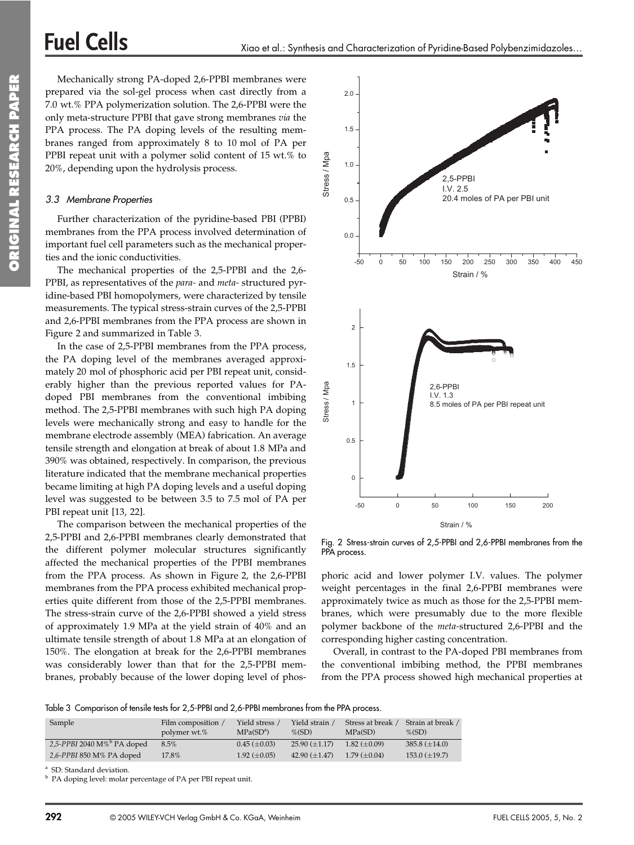Mechanically strong PA-doped 2,6-PPBI membranes were prepared via the sol-gel process when cast directly from a 7.0 wt.% PPA polymerization solution. The 2,6-PPBI were the only meta-structure PPBI that gave strong membranes via the PPA process. The PA doping levels of the resulting membranes ranged from approximately 8 to 10 mol of PA per PPBI repeat unit with a polymer solid content of 15 wt.% to 20%, depending upon the hydrolysis process.

#### 3.3 Membrane Properties

**Fuel Cells** 

Further characterization of the pyridine-based PBI (PPBI) membranes from the PPA process involved determination of important fuel cell parameters such as the mechanical properties and the ionic conductivities.

The mechanical properties of the 2,5-PPBI and the 2,6-PPBI, as representatives of the para- and meta-structured pyridine-based PBI homopolymers, were characterized by tensile measurements. The typical stress-strain curves of the 2,5-PPBI and 2,6-PPBI membranes from the PPA process are shown in Figure 2 and summarized in Table 3.

In the case of 2,5-PPBI membranes from the PPA process, the PA doping level of the membranes averaged approximately 20 mol of phosphoric acid per PBI repeat unit, considerably higher than the previous reported values for PAdoped PBI membranes from the conventional imbibing method. The 2,5-PPBI membranes with such high PA doping levels were mechanically strong and easy to handle for the membrane electrode assembly (MEA) fabrication. An average tensile strength and elongation at break of about 1.8 MPa and 390% was obtained, respectively. In comparison, the previous literature indicated that the membrane mechanical properties became limiting at high PA doping levels and a useful doping level was suggested to be between 3.5 to 7.5 mol of PA per PBI repeat unit [13, 22].

The comparison between the mechanical properties of the 2,5-PPBI and 2,6-PPBI membranes clearly demonstrated that the different polymer molecular structures significantly affected the mechanical properties of the PPBI membranes from the PPA process. As shown in Figure 2, the 2,6-PPBI membranes from the PPA process exhibited mechanical properties quite different from those of the 2,5-PPBI membranes. The stress-strain curve of the 2,6-PPBI showed a yield stress of approximately 1.9 MPa at the yield strain of 40% and an ultimate tensile strength of about 1.8 MPa at an elongation of 150%. The elongation at break for the 2,6-PPBI membranes was considerably lower than that for the 2,5-PPBI membranes, probably because of the lower doping level of phos-



Fig. 2 Stress-strain curves of 2,5-PPBI and 2,6-PPBI membranes from the PPA process.

phoric acid and lower polymer I.V. values. The polymer weight percentages in the final 2,6-PPBI membranes were approximately twice as much as those for the 2,5-PPBI membranes, which were presumably due to the more flexible polymer backbone of the meta-structured 2,6-PPBI and the corresponding higher casting concentration.

Overall, in contrast to the PA-doped PBI membranes from the conventional imbibing method, the PPBI membranes from the PPA process showed high mechanical properties at

Table 3 Comparison of tensile tests for 2,5-PPBI and 2,6-PPBI membranes from the PPA process.

| Sample                         | Film composition<br>polymer wt.% | Yield stress<br>$MPa(SD^a)$ | Yield strain<br>$\%$ (SD) | Stress at break /<br>MPa(SD) | Strain at break /<br>$\%$ (SD) |
|--------------------------------|----------------------------------|-----------------------------|---------------------------|------------------------------|--------------------------------|
| 2,5-PPBI 2040 $M\%^b$ PA doped | 8.5%                             | $0.45 \ (\pm 0.03)$         | $25.90 \ (\pm 1.17)$      | $1.82 (+0.09)$               | $385.8 \ (\pm 14.0)$           |
| 2,6-PPBI 850 M% PA doped       | 17.8%                            | $1.92 \ (\pm 0.05)$         | 42.90 $(\pm 1.47)$        | $1.79(+0.04)$                | $153.0 \ (\pm 19.7)$           |

<sup>a</sup> SD: Standard deviation.

<sup>b</sup> PA doping level: molar percentage of PA per PBI repeat unit.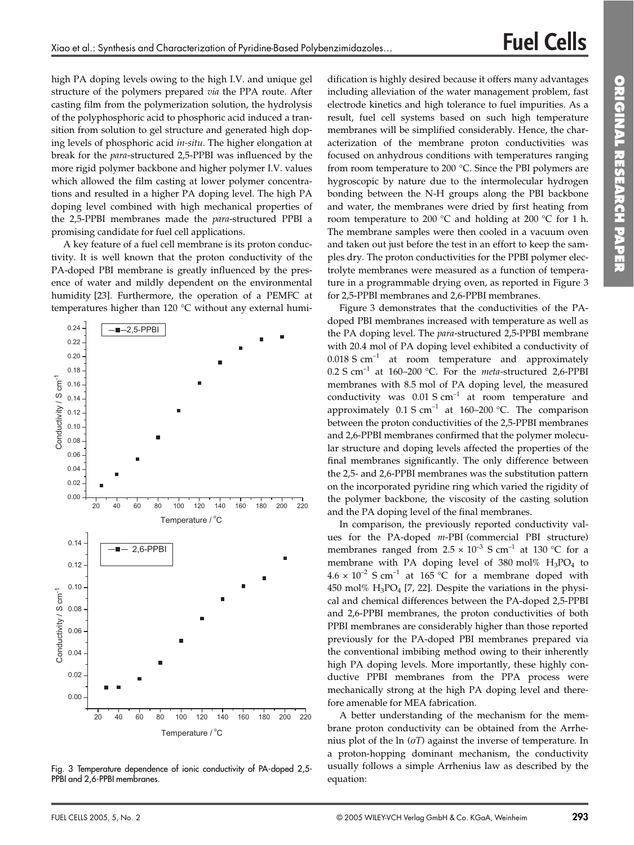high PA doping levels owing to the high I.V. and unique gel structure of the polymers prepared via the PPA route. After casting film from the polymerization solution, the hydrolysis of the polyphosphoric acid to phosphoric acid induced a transition from solution to gel structure and generated high doping levels of phosphoric acid in-situ. The higher elongation at break for the para-structured 2,5-PPBI was influenced by the more rigid polymer backbone and higher polymer I.V. values which allowed the film casting at lower polymer concentrations and resulted in a higher PA doping level. The high PA doping level combined with high mechanical properties of the 2,5-PPBI membranes made the *para*-structured PPBI a promising candidate for fuel cell applications.

A key feature of a fuel cell membrane is its proton conductivity. It is well known that the proton conductivity of the PA-doped PBI membrane is greatly influenced by the presence of water and mildly dependent on the environmental humidity [23]. Furthermore, the operation of a PEMFC at temperatures higher than 120 °C without any external humi-



Fig. 3 Temperature dependence of ionic conductivity of PA-doped 2,5-PPBI and 2,6-PPBI membranes.

dification is highly desired because it offers many advantages including alleviation of the water management problem, fast electrode kinetics and high tolerance to fuel impurities. As a result, fuel cell systems based on such high temperature membranes will be simplified considerably. Hence, the characterization of the membrane proton conductivities was focused on anhydrous conditions with temperatures ranging from room temperature to 200 °C. Since the PBI polymers are hygroscopic by nature due to the intermolecular hydrogen bonding between the N-H groups along the PBI backbone and water, the membranes were dried by first heating from room temperature to 200 °C and holding at 200 °C for 1 h. The membrane samples were then cooled in a vacuum oven and taken out just before the test in an effort to keep the samples dry. The proton conductivities for the PPBI polymer electrolyte membranes were measured as a function of temperature in a programmable drying oven, as reported in Figure 3 for 2,5-PPBI membranes and 2,6-PPBI membranes.

Figure 3 demonstrates that the conductivities of the PAdoped PBI membranes increased with temperature as well as the PA doping level. The para-structured 2,5-PPBI membrane with 20.4 mol of PA doping level exhibited a conductivity of  $0.018$  S cm<sup>-1</sup> at room temperature and approximately 0.2 S cm<sup>-1</sup> at 160-200 °C. For the *meta*-structured 2,6-PPBI membranes with 8.5 mol of PA doping level, the measured conductivity was  $0.01 S cm^{-1}$  at room temperature and approximately  $0.1 S cm^{-1}$  at 160-200 °C. The comparison between the proton conductivities of the 2,5-PPBI membranes and 2,6-PPBI membranes confirmed that the polymer molecular structure and doping levels affected the properties of the final membranes significantly. The only difference between the 2,5- and 2,6-PPBI membranes was the substitution pattern on the incorporated pyridine ring which varied the rigidity of the polymer backbone, the viscosity of the casting solution and the PA doping level of the final membranes.

In comparison, the previously reported conductivity values for the PA-doped m-PBI (commercial PBI structure) membranes ranged from  $2.5 \times 10^{-3}$  S cm<sup>-1</sup> at 130 °C for a membrane with PA doping level of 380 mol%  $H_3PO_4$  to  $4.6 \times 10^{-2}$  S cm<sup>-1</sup> at 165 °C for a membrane doped with 450 mol%  $H_3PO_4$  [7, 22]. Despite the variations in the physical and chemical differences between the PA-doped 2,5-PPBI and 2,6-PPBI membranes, the proton conductivities of both PPBI membranes are considerably higher than those reported previously for the PA-doped PBI membranes prepared via the conventional imbibing method owing to their inherently high PA doping levels. More importantly, these highly conductive PPBI membranes from the PPA process were mechanically strong at the high PA doping level and therefore amenable for MEA fabrication.

A better understanding of the mechanism for the membrane proton conductivity can be obtained from the Arrhenius plot of the  $\ln (\sigma T)$  against the inverse of temperature. In a proton-hopping dominant mechanism, the conductivity usually follows a simple Arrhenius law as described by the equation: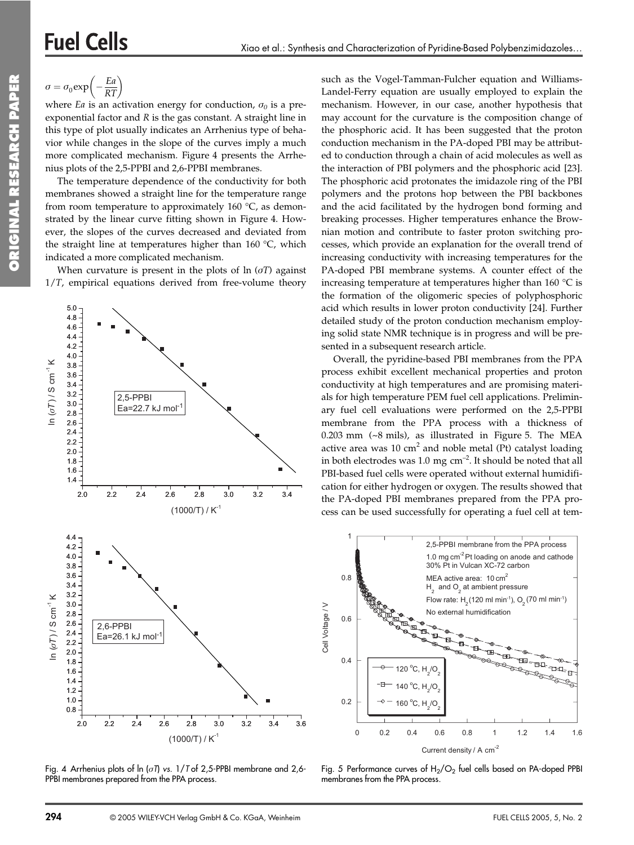# **Fuel Cells**

 $rac{Ea}{RT}$  $\sigma = \sigma_0 \exp$  | -

where *Ea* is an activation energy for conduction,  $\sigma_0$  is a preexponential factor and  $R$  is the gas constant. A straight line in this type of plot usually indicates an Arrhenius type of behavior while changes in the slope of the curves imply a much more complicated mechanism. Figure 4 presents the Arrhenius plots of the 2,5-PPBI and 2,6-PPBI membranes.

The temperature dependence of the conductivity for both membranes showed a straight line for the temperature range from room temperature to approximately 160  $^{\circ}$ C, as demonstrated by the linear curve fitting shown in Figure 4. However, the slopes of the curves decreased and deviated from the straight line at temperatures higher than 160 °C, which indicated a more complicated mechanism.

When curvature is present in the plots of  $\ln (\sigma T)$  against  $1/T$ , empirical equations derived from free-volume theory



Fig. 4 Arrhenius plots of  $\ln (\sigma T)$  vs. 1/T of 2,5-PPBI membrane and 2,6-PPBI membranes prepared from the PPA process.

294

such as the Vogel-Tamman-Fulcher equation and Williams-Landel-Ferry equation are usually employed to explain the mechanism. However, in our case, another hypothesis that may account for the curvature is the composition change of the phosphoric acid. It has been suggested that the proton conduction mechanism in the PA-doped PBI may be attributed to conduction through a chain of acid molecules as well as the interaction of PBI polymers and the phosphoric acid [23]. The phosphoric acid protonates the imidazole ring of the PBI polymers and the protons hop between the PBI backbones and the acid facilitated by the hydrogen bond forming and breaking processes. Higher temperatures enhance the Brownian motion and contribute to faster proton switching processes, which provide an explanation for the overall trend of increasing conductivity with increasing temperatures for the PA-doped PBI membrane systems. A counter effect of the increasing temperature at temperatures higher than  $160^{\circ}$ C is the formation of the oligomeric species of polyphosphoric acid which results in lower proton conductivity [24]. Further detailed study of the proton conduction mechanism employing solid state NMR technique is in progress and will be presented in a subsequent research article.

Overall, the pyridine-based PBI membranes from the PPA process exhibit excellent mechanical properties and proton conductivity at high temperatures and are promising materials for high temperature PEM fuel cell applications. Preliminary fuel cell evaluations were performed on the 2,5-PPBI membrane from the PPA process with a thickness of  $0.203$  mm  $({\sim}8$  mils), as illustrated in Figure 5. The MEA active area was  $10 \text{ cm}^2$  and noble metal (Pt) catalyst loading in both electrodes was 1.0 mg cm<sup>-2</sup>. It should be noted that all PBI-based fuel cells were operated without external humidification for either hydrogen or oxygen. The results showed that the PA-doped PBI membranes prepared from the PPA process can be used successfully for operating a fuel cell at tem-



Fig. 5 Performance curves of  $H_2/O_2$  fuel cells based on PA-doped PPBI membranes from the PPA process.